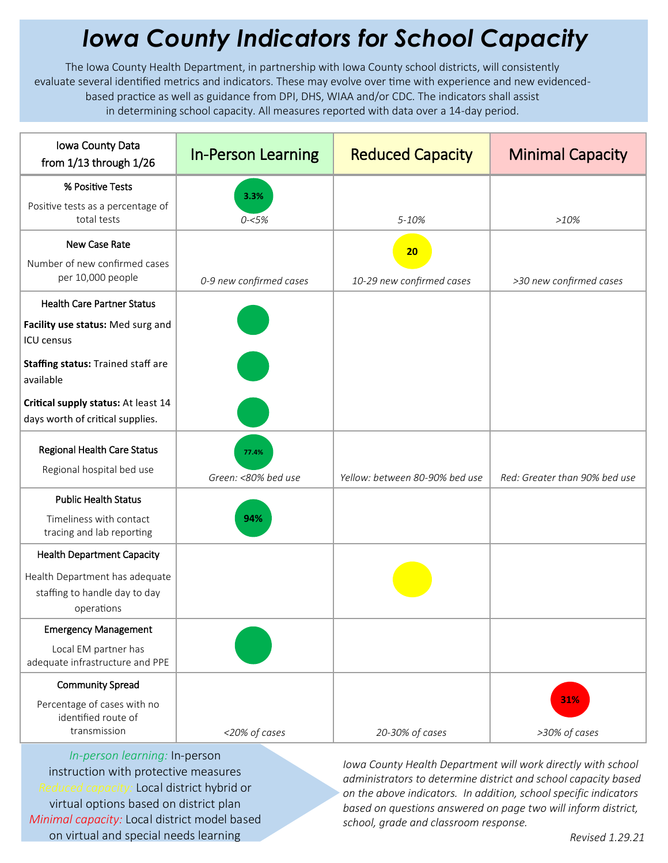## *Iowa County Indicators for School Capacity*

The Iowa County Health Department, in partnership with Iowa County school districts, will consistently evaluate several identified metrics and indicators. These may evolve over time with experience and new evidencedbased practice as well as guidance from DPI, DHS, WIAA and/or CDC. The indicators shall assist in determining school capacity. All measures reported with data over a 14-day period.

| Iowa County Data<br>from $1/13$ through $1/26$                                | <b>In-Person Learning</b>    | <b>Reduced Capacity</b>        | <b>Minimal Capacity</b>       |
|-------------------------------------------------------------------------------|------------------------------|--------------------------------|-------------------------------|
| % Positive Tests                                                              | 3.3%                         |                                |                               |
| Positive tests as a percentage of<br>total tests                              | $0 - 5%$                     | 5-10%                          | >10%                          |
| New Case Rate                                                                 |                              | 20                             |                               |
| Number of new confirmed cases<br>per 10,000 people                            | 0-9 new confirmed cases      | 10-29 new confirmed cases      | >30 new confirmed cases       |
| <b>Health Care Partner Status</b>                                             |                              |                                |                               |
| Facility use status: Med surg and<br>ICU census                               |                              |                                |                               |
| Staffing status: Trained staff are<br>available                               |                              |                                |                               |
| Critical supply status: At least 14<br>days worth of critical supplies.       |                              |                                |                               |
| <b>Regional Health Care Status</b><br>Regional hospital bed use               | 77.4%<br>Green: <80% bed use | Yellow: between 80-90% bed use | Red: Greater than 90% bed use |
| <b>Public Health Status</b>                                                   |                              |                                |                               |
| Timeliness with contact<br>tracing and lab reporting                          | 94%                          |                                |                               |
| <b>Health Department Capacity</b>                                             |                              |                                |                               |
| Health Department has adequate<br>staffing to handle day to day<br>operations |                              |                                |                               |
| <b>Emergency Management</b>                                                   |                              |                                |                               |
| Local EM partner has<br>adequate infrastructure and PPE                       |                              |                                |                               |
| <b>Community Spread</b>                                                       |                              |                                |                               |
| Percentage of cases with no<br>identified route of<br>transmission            | <20% of cases                | 20-30% of cases                | 31%<br>>30% of cases          |

*In-person learning:* In-person instruction with protective measures *Reduced capacity:* Local district hybrid or virtual options based on district plan *Minimal capacity:* Local district model based on virtual and special needs learning

*Iowa County Health Department will work directly with school administrators to determine district and school capacity based on the above indicators. In addition, school specific indicators based on questions answered on page two will inform district, school, grade and classroom response.*